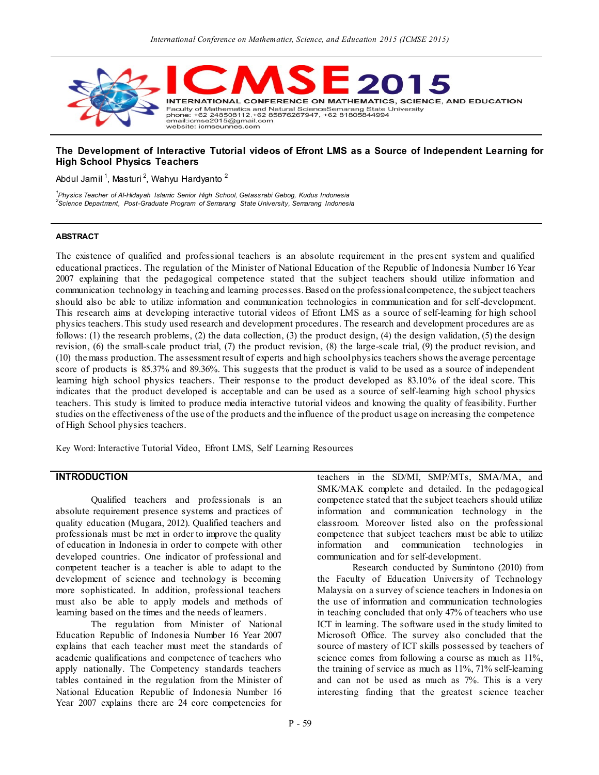

### **The Development of Interactive Tutorial videos of Efront LMS as a Source of Independent Learning for High School Physics Teachers**

Abdul Jamil<sup>1</sup>, Masturi<sup>2</sup>, Wahyu Hardyanto <sup>2</sup>

*1 Physics Teacher of Al-Hidayah Islamic Senior High School, Getassrabi Gebog, Kudus Indonesia 2 Science Department, Post-Graduate Program of Semarang State University, Semarang Indonesia*

### **ABSTRACT**

The existence of qualified and professional teachers is an absolute requirement in the present system and qualified educational practices. The regulation of the Minister of National Education of the Republic of Indonesia Number 16 Year 2007 explaining that the pedagogical competence stated that the subject teachers should utilize information and communication technology in teaching and learning processes. Based on the professional competence, the subject teachers should also be able to utilize information and communication technologies in communication and for self-development. This research aims at developing interactive tutorial videos of Efront LMS as a source of self-learning for high school physics teachers. This study used research and development procedures. The research and development procedures are as follows: (1) the research problems, (2) the data collection, (3) the product design, (4) the design validation, (5) the design revision, (6) the small-scale product trial, (7) the product revision, (8) the large-scale trial, (9) the product revision, and (10) the mass production. The assessment result of experts and high school physics teachers shows the average percentage score of products is 85.37% and 89.36%. This suggests that the product is valid to be used as a source of independent learning high school physics teachers. Their response to the product developed as 83.10% of the ideal score. This indicates that the product developed is acceptable and can be used as a source of self-learning high school physics teachers. This study is limited to produce media interactive tutorial videos and knowing the quality of feasibility. Further studies on the effectiveness of the use of the products and the influence of the product usage on increasing the competence of High School physics teachers.

Key Word: Interactive Tutorial Video, Efront LMS, Self Learning Resources

## **INTRODUCTION**

Qualified teachers and professionals is an absolute requirement presence systems and practices of quality education (Mugara, 2012). Qualified teachers and professionals must be met in order to improve the quality of education in Indonesia in order to compete with other developed countries. One indicator of professional and competent teacher is a teacher is able to adapt to the development of science and technology is becoming more sophisticated. In addition, professional teachers must also be able to apply models and methods of learning based on the times and the needs of learners.

The regulation from Minister of National Education Republic of Indonesia Number 16 Year 2007 explains that each teacher must meet the standards of academic qualifications and competence of teachers who apply nationally. The Competency standards teachers tables contained in the regulation from the Minister of National Education Republic of Indonesia Number 16 Year 2007 explains there are 24 core competencies for

teachers in the SD/MI, SMP/MTs, SMA/MA, and SMK/MAK complete and detailed. In the pedagogical competence stated that the subject teachers should utilize information and communication technology in the classroom. Moreover listed also on the professional competence that subject teachers must be able to utilize information and communication technologies in communication and for self-development.

Research conducted by Sumintono (2010) from the Faculty of Education University of Technology Malaysia on a survey of science teachers in Indonesia on the use of information and communication technologies in teaching concluded that only 47% of teachers who use ICT in learning. The software used in the study limited to Microsoft Office. The survey also concluded that the source of mastery of ICT skills possessed by teachers of science comes from following a course as much as 11%, the training of service as much as 11%, 71% self-learning and can not be used as much as 7%. This is a very interesting finding that the greatest science teacher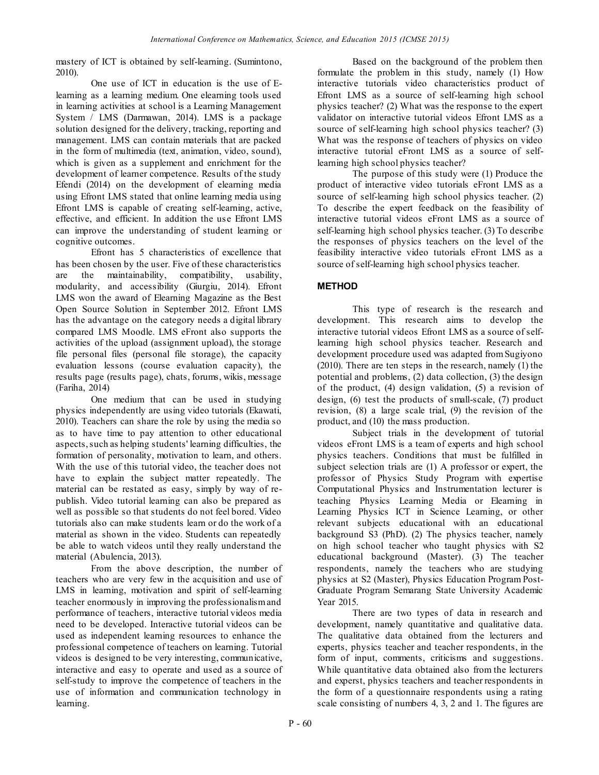mastery of ICT is obtained by self-learning. (Sumintono, 2010).

One use of ICT in education is the use of Elearning as a learning medium. One elearning tools used in learning activities at school is a Learning Management System / LMS (Darmawan, 2014). LMS is a package solution designed for the delivery, tracking, reporting and management. LMS can contain materials that are packed in the form of multimedia (text, animation, video, sound), which is given as a supplement and enrichment for the development of learner competence. Results of the study Efendi (2014) on the development of elearning media using Efront LMS stated that online learning media using Efront LMS is capable of creating self-learning, active, effective, and efficient. In addition the use Efront LMS can improve the understanding of student learning or cognitive outcomes.

Efront has 5 characteristics of excellence that has been chosen by the user. Five of these characteristics are the maintainability, compatibility, usability, modularity, and accessibility (Giurgiu, 2014). Efront LMS won the award of Elearning Magazine as the Best Open Source Solution in September 2012. Efront LMS has the advantage on the category needs a digital library compared LMS Moodle. LMS eFront also supports the activities of the upload (assignment upload), the storage file personal files (personal file storage), the capacity evaluation lessons (course evaluation capacity), the results page (results page), chats, forums, wikis, message (Fariha, 2014)

One medium that can be used in studying physics independently are using video tutorials (Ekawati, 2010). Teachers can share the role by using the media so as to have time to pay attention to other educational aspects, such as helping students' learning difficulties, the formation of personality, motivation to learn, and others. With the use of this tutorial video, the teacher does not have to explain the subject matter repeatedly. The material can be restated as easy, simply by way of republish. Video tutorial learning can also be prepared as well as possible so that students do not feel bored. Video tutorials also can make students learn or do the work of a material as shown in the video. Students can repeatedly be able to watch videos until they really understand the material (Abulencia, 2013).

From the above description, the number of teachers who are very few in the acquisition and use of LMS in learning, motivation and spirit of self-learning teacher enormously in improving the professionalism and performance of teachers, interactive tutorial videos media need to be developed. Interactive tutorial videos can be used as independent learning resources to enhance the professional competence of teachers on learning. Tutorial videos is designed to be very interesting, communicative, interactive and easy to operate and used as a source of self-study to improve the competence of teachers in the use of information and communication technology in learning.

Based on the background of the problem then formulate the problem in this study, namely (1) How interactive tutorials video characteristics product of Efront LMS as a source of self-learning high school physics teacher? (2) What was the response to the expert validator on interactive tutorial videos Efront LMS as a source of self-learning high school physics teacher? (3) What was the response of teachers of physics on video interactive tutorial eFront LMS as a source of selflearning high school physics teacher?

The purpose of this study were (1) Produce the product of interactive video tutorials eFront LMS as a source of self-learning high school physics teacher. (2) To describe the expert feedback on the feasibility of interactive tutorial videos eFront LMS as a source of self-learning high school physics teacher. (3) To describe the responses of physics teachers on the level of the feasibility interactive video tutorials eFront LMS as a source of self-learning high school physics teacher.

# **METHOD**

This type of research is the research and development. This research aims to develop the interactive tutorial videos Efront LMS as a source of selflearning high school physics teacher. Research and development procedure used was adapted from Sugiyono (2010). There are ten steps in the research, namely (1) the potential and problems, (2) data collection, (3) the design of the product, (4) design validation, (5) a revision of design, (6) test the products of small-scale, (7) product revision, (8) a large scale trial, (9) the revision of the product, and (10) the mass production.

Subject trials in the development of tutorial videos eFront LMS is a team of experts and high school physics teachers. Conditions that must be fulfilled in subject selection trials are (1) A professor or expert, the professor of Physics Study Program with expertise Computational Physics and Instrumentation lecturer is teaching Physics Learning Media or Elearning in Learning Physics ICT in Science Learning, or other relevant subjects educational with an educational background S3 (PhD). (2) The physics teacher, namely on high school teacher who taught physics with S2 educational background (Master). (3) The teacher respondents, namely the teachers who are studying physics at S2 (Master), Physics Education Program Post-Graduate Program Semarang State University Academic Year 2015.

There are two types of data in research and development, namely quantitative and qualitative data. The qualitative data obtained from the lecturers and experts, physics teacher and teacher respondents, in the form of input, comments, criticisms and suggestions. While quantitative data obtained also from the lecturers and experst, physics teachers and teacher respondents in the form of a questionnaire respondents using a rating scale consisting of numbers 4, 3, 2 and 1. The figures are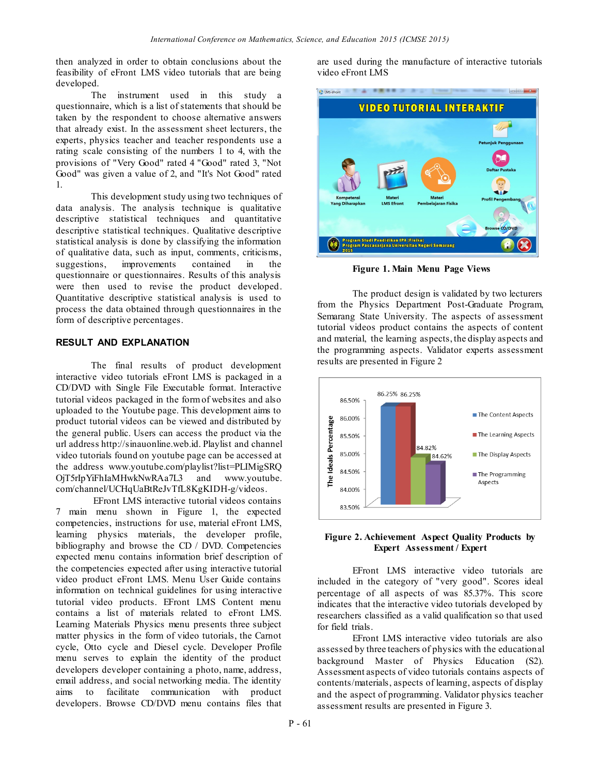then analyzed in order to obtain conclusions about the feasibility of eFront LMS video tutorials that are being developed.

The instrument used in this study a questionnaire, which is a list of statements that should be taken by the respondent to choose alternative answers that already exist. In the assessment sheet lecturers, the experts, physics teacher and teacher respondents use a rating scale consisting of the numbers 1 to 4, with the provisions of "Very Good" rated 4 "Good" rated 3, "Not Good" was given a value of 2, and "It's Not Good" rated 1.

This development study using two techniques of data analysis. The analysis technique is qualitative descriptive statistical techniques and quantitative descriptive statistical techniques. Qualitative descriptive statistical analysis is done by classifying the information of qualitative data, such as input, comments, criticisms, suggestions, improvements contained in the questionnaire or questionnaires. Results of this analysis were then used to revise the product developed. Quantitative descriptive statistical analysis is used to process the data obtained through questionnaires in the form of descriptive percentages.

### **RESULT AND EXPLANATION**

The final results of product development interactive video tutorials eFront LMS is packaged in a CD/DVD with Single File Executable format. Interactive tutorial videos packaged in the form of websites and also uploaded to the Youtube page. This development aims to product tutorial videos can be viewed and distributed by the general public. Users can access the product via the url address http://sinauonline.web.id. Playlist and channel video tutorials found on youtube page can be accessed at the address www.youtube.com/playlist?list=PLIMigSRQ OjT5rIpYiFhIaMHwkNwRAa7L3 and www.youtube. com/channel/UCHqUaBtReJvTfL8KgKIDH-g/videos.

EFront LMS interactive tutorial videos contains 7 main menu shown in Figure 1, the expected competencies, instructions for use, material eFront LMS, learning physics materials, the developer profile, bibliography and browse the CD / DVD. Competencies expected menu contains information brief description of the competencies expected after using interactive tutorial video product eFront LMS. Menu User Guide contains information on technical guidelines for using interactive tutorial video products. EFront LMS Content menu contains a list of materials related to eFront LMS. Learning Materials Physics menu presents three subject matter physics in the form of video tutorials, the Carnot cycle, Otto cycle and Diesel cycle. Developer Profile menu serves to explain the identity of the product developers developer containing a photo, name, address, email address, and social networking media. The identity aims to facilitate communication with product developers. Browse CD/DVD menu contains files that

are used during the manufacture of interactive tutorials video eFront LMS



**Figure 1. Main Menu Page Views**

The product design is validated by two lecturers from the Physics Department Post-Graduate Program, Semarang State University. The aspects of assessment tutorial videos product contains the aspects of content and material, the learning aspects, the display aspects and the programming aspects. Validator experts assessment results are presented in Figure 2



#### **Figure 2. Achievement Aspect Quality Products by Expert Assessment / Expert**

EFront LMS interactive video tutorials are included in the category of "very good". Scores ideal percentage of all aspects of was 85.37%. This score indicates that the interactive video tutorials developed by researchers classified as a valid qualification so that used for field trials.

EFront LMS interactive video tutorials are also assessed by three teachers of physics with the educational background Master of Physics Education (S2). Assessment aspects of video tutorials contains aspects of contents/materials, aspects of learning, aspects of display and the aspect of programming. Validator physics teacher assessment results are presented in Figure 3.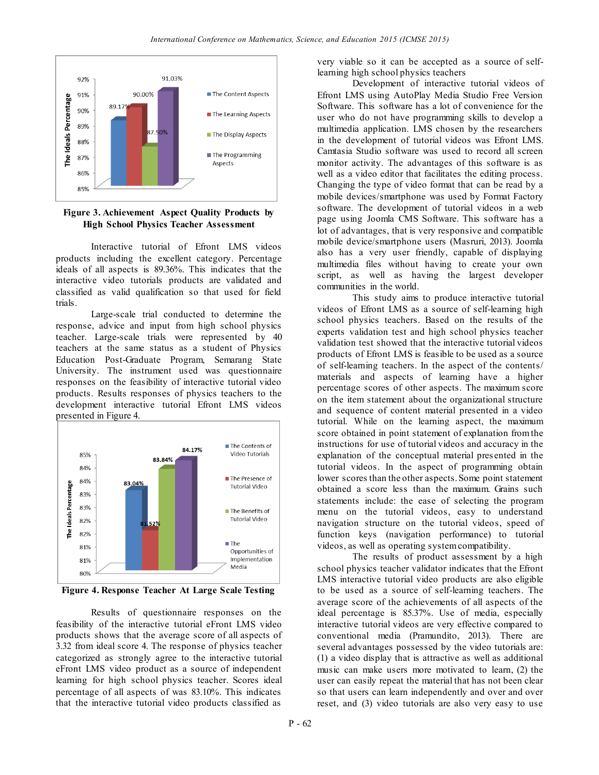

## **Figure 3. Achievement Aspect Quality Products by High School Physics Teacher Assessment**

Interactive tutorial of Efront LMS videos products including the excellent category. Percentage ideals of all aspects is 89.36%. This indicates that the interactive video tutorials products are validated and classified as valid qualification so that used for field trials.

Large-scale trial conducted to determine the response, advice and input from high school physics teacher. Large-scale trials were represented by 40 teachers at the same status as a student of Physics Education Post-Graduate Program, Semarang State University. The instrument used was questionnaire responses on the feasibility of interactive tutorial video products. Results responses of physics teachers to the development interactive tutorial Efront LMS videos presented in Figure 4.



**Figure 4. Response Teacher At Large Scale Testing**

Results of questionnaire responses on the feasibility of the interactive tutorial eFront LMS video products shows that the average score of all aspects of 3.32 from ideal score 4. The response of physics teacher categorized as strongly agree to the interactive tutorial eFront LMS video product as a source of independent learning for high school physics teacher. Scores ideal percentage of all aspects of was 83.10%. This indicates that the interactive tutorial video products classified as

very viable so it can be accepted as a source of selflearning high school physics teachers

Development of interactive tutorial videos of Efront LMS using AutoPlay Media Studio Free Version Software. This software has a lot of convenience for the user who do not have programming skills to develop a multimedia application. LMS chosen by the researchers in the development of tutorial videos was Efront LMS. Camtasia Studio software was used to record all screen monitor activity. The advantages of this software is as well as a video editor that facilitates the editing process. Changing the type of video format that can be read by a mobile devices/smartphone was used by Format Factory software. The development of tutorial videos in a web page using Joomla CMS Software. This software has a lot of advantages, that is very responsive and compatible mobile device/smartphone users (Masruri, 2013). Joomla also has a very user friendly, capable of displaying multimedia files without having to create your own script, as well as having the largest developer communities in the world.

This study aims to produce interactive tutorial videos of Efront LMS as a source of self-learning high school physics teachers. Based on the results of the experts validation test and high school physics teacher validation test showed that the interactive tutorial videos products of Efront LMS is feasible to be used as a source of self-learning teachers. In the aspect of the contents/ materials and aspects of learning have a higher percentage scores of other aspects. The maximum score on the item statement about the organizational structure and sequence of content material presented in a video tutorial. While on the learning aspect, the maximum score obtained in point statement of explanation fromthe instructions for use of tutorial videos and accuracy in the explanation of the conceptual material pres ented in the tutorial videos. In the aspect of programming obtain lower scores than the other aspects. Some point statement obtained a score less than the maximum. Grains such statements include: the ease of selecting the program menu on the tutorial videos, easy to understand navigation structure on the tutorial videos, speed of function keys (navigation performance) to tutorial videos, as well as operating system compatibility.

The results of product assessment by a high school physics teacher validator indicates that the Efront LMS interactive tutorial video products are also eligible to be used as a source of self-learning teachers. The average score of the achievements of all aspects of the ideal percentage is 85.37%. Use of media, especially interactive tutorial videos are very effective compared to conventional media (Pramundito, 2013). There are several advantages possessed by the video tutorials are: (1) a video display that is attractive as well as additional music can make users more motivated to learn, (2) the user can easily repeat the material that has not been clear so that users can learn independently and over and over reset, and (3) video tutorials are also very easy to use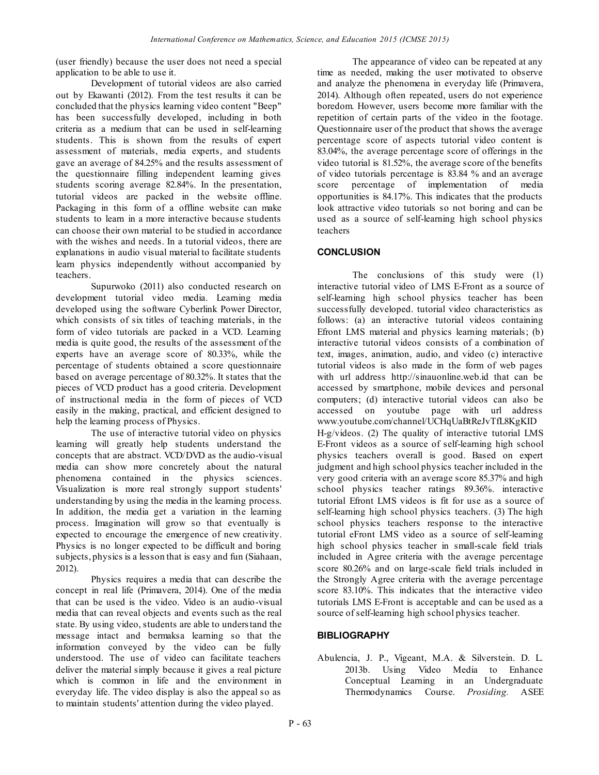(user friendly) because the user does not need a special application to be able to use it.

Development of tutorial videos are also carried out by Ekawanti (2012). From the test results it can be concluded that the physics learning video content "Beep" has been successfully developed, including in both criteria as a medium that can be used in self-learning students. This is shown from the results of expert assessment of materials, media experts, and students gave an average of 84.25% and the results assessment of the questionnaire filling independent learning gives students scoring average 82.84%. In the presentation, tutorial videos are packed in the website offline. Packaging in this form of a offline website can make students to learn in a more interactive because students can choose their own material to be studied in accordance with the wishes and needs. In a tutorial videos, there are explanations in audio visual material to facilitate students learn physics independently without accompanied by teachers.

Supurwoko (2011) also conducted research on development tutorial video media. Learning media developed using the software Cyberlink Power Director, which consists of six titles of teaching materials, in the form of video tutorials are packed in a VCD. Learning media is quite good, the results of the assessment of the experts have an average score of 80.33%, while the percentage of students obtained a score questionnaire based on average percentage of 80.32%. It states that the pieces of VCD product has a good criteria. Development of instructional media in the form of pieces of VCD easily in the making, practical, and efficient designed to help the learning process of Physics.

The use of interactive tutorial video on physics learning will greatly help students understand the concepts that are abstract. VCD/DVD as the audio-visual media can show more concretely about the natural phenomena contained in the physics sciences. Visualization is more real strongly support students' understanding by using the media in the learning process. In addition, the media get a variation in the learning process. Imagination will grow so that eventually is expected to encourage the emergence of new creativity. Physics is no longer expected to be difficult and boring subjects, physics is a lesson that is easy and fun (Siahaan, 2012).

Physics requires a media that can describe the concept in real life (Primavera, 2014). One of the media that can be used is the video. Video is an audio-visual media that can reveal objects and events such as the real state. By using video, students are able to understand the message intact and bermaksa learning so that the information conveyed by the video can be fully understood. The use of video can facilitate teachers deliver the material simply because it gives a real picture which is common in life and the environment in everyday life. The video display is also the appeal so as to maintain students' attention during the video played.

The appearance of video can be repeated at any time as needed, making the user motivated to observe and analyze the phenomena in everyday life (Primavera, 2014). Although often repeated, users do not experience boredom. However, users become more familiar with the repetition of certain parts of the video in the footage. Questionnaire user of the product that shows the average percentage score of aspects tutorial video content is 83.04%, the average percentage score of offerings in the video tutorial is 81.52%, the average score of the benefits of video tutorials percentage is 83.84 % and an average score percentage of implementation of media opportunities is 84.17%. This indicates that the products look attractive video tutorials so not boring and can be used as a source of self-learning high school physics teachers

# **CONCLUSION**

The conclusions of this study were (1) interactive tutorial video of LMS E-Front as a source of self-learning high school physics teacher has been successfully developed. tutorial video characteristics as follows: (a) an interactive tutorial videos containing Efront LMS material and physics learning materials; (b) interactive tutorial videos consists of a combination of text, images, animation, audio, and video (c) interactive tutorial videos is also made in the form of web pages with url address http://sinauonline.web.id that can be accessed by smartphone, mobile devices and personal computers; (d) interactive tutorial videos can also be accessed on youtube page with url address www.youtube.com/channel/UCHqUaBtReJvTfL8KgKID H-g/videos. (2) The quality of interactive tutorial LMS E-Front videos as a source of self-learning high school physics teachers overall is good. Based on expert judgment and high school physics teacher included in the very good criteria with an average score 85.37% and high school physics teacher ratings 89.36%. interactive tutorial Efront LMS videos is fit for use as a source of self-learning high school physics teachers. (3) The high school physics teachers response to the interactive tutorial eFront LMS video as a source of self-learning high school physics teacher in small-scale field trials included in Agree criteria with the average percentage score 80.26% and on large-scale field trials included in the Strongly Agree criteria with the average percentage score 83.10%. This indicates that the interactive video tutorials LMS E-Front is acceptable and can be used as a source of self-learning high school physics teacher.

## **BIBLIOGRAPHY**

Abulencia, J. P., Vigeant, M.A. & Silverstein. D. L. 2013b. Using Video Media to Enhance Conceptual Learning in an Undergraduate Thermodynamics Course. *Prosiding.* ASEE